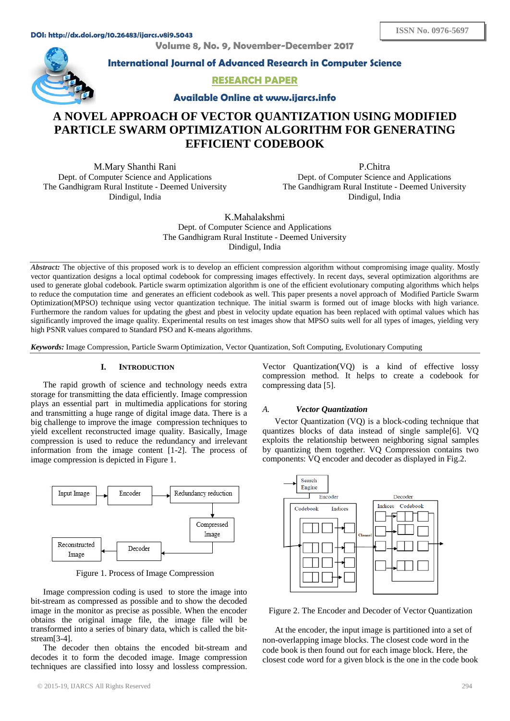**Volume 8, No. 9, November-December 2017**



**International Journal of Advanced Research in Computer Science**

**RESEARCH PAPER**

**Available Online at www.ijarcs.info**

# **A NOVEL APPROACH OF VECTOR QUANTIZATION USING MODIFIED PARTICLE SWARM OPTIMIZATION ALGORITHM FOR GENERATING EFFICIENT CODEBOOK**

M.Mary Shanthi Rani Dept. of Computer Science and Applications The Gandhigram Rural Institute - Deemed University Dindigul, India

P.Chitra Dept. of Computer Science and Applications The Gandhigram Rural Institute - Deemed University Dindigul, India

K.Mahalakshmi Dept. of Computer Science and Applications The Gandhigram Rural Institute - Deemed University Dindigul, India

*Abstract:* The objective of this proposed work is to develop an efficient compression algorithm without compromising image quality. Mostly vector quantization designs a local optimal codebook for compressing images effectively. In recent days, several optimization algorithms are used to generate global codebook. Particle swarm optimization algorithm is one of the efficient evolutionary computing algorithms which helps to reduce the computation time and generates an efficient codebook as well. This paper presents a novel approach of Modified Particle Swarm Optimization(MPSO) technique using vector quantization technique. The initial swarm is formed out of image blocks with high variance. Furthermore the random values for updating the gbest and pbest in velocity update equation has been replaced with optimal values which has significantly improved the image quality. Experimental results on test images show that MPSO suits well for all types of images, yielding very high PSNR values compared to Standard PSO and K-means algorithms.

*Keywords:* Image Compression, Particle Swarm Optimization, Vector Quantization, Soft Computing, Evolutionary Computing

# **I. INTRODUCTION**

The rapid growth of science and technology needs extra storage for transmitting the data efficiently. Image compression plays an essential part in multimedia applications for storing and transmitting a huge range of digital image data. There is a big challenge to improve the image compression techniques to yield excellent reconstructed image quality. Basically, Image compression is used to reduce the redundancy and irrelevant information from the image content [1-2]. The process of image compression is depicted in Figure 1.



Figure 1. Process of Image Compression

Image compression coding is used to store the image into bit-stream as compressed as possible and to show the decoded image in the monitor as precise as possible. When the encoder obtains the original image file, the image file will be transformed into a series of binary data, which is called the bitstream[3-4].

The decoder then obtains the encoded bit-stream and decodes it to form the decoded image. Image compression techniques are classified into lossy and lossless compression.

Vector Quantization(VQ) is a kind of effective lossy compression method. It helps to create a codebook for compressing data [5].

## *A. Vector Quantization*

Vector Quantization (VQ) is a block-coding technique that quantizes blocks of data instead of single sample[6]. VQ exploits the relationship between neighboring signal samples by quantizing them together. VQ Compression contains two components: VQ encoder and decoder as displayed in Fig.2.



Figure 2. The Encoder and Decoder of Vector Quantization

At the encoder, the input image is partitioned into a set of non-overlapping image blocks. The closest code word in the code book is then found out for each image block. Here, the closest code word for a given block is the one in the code book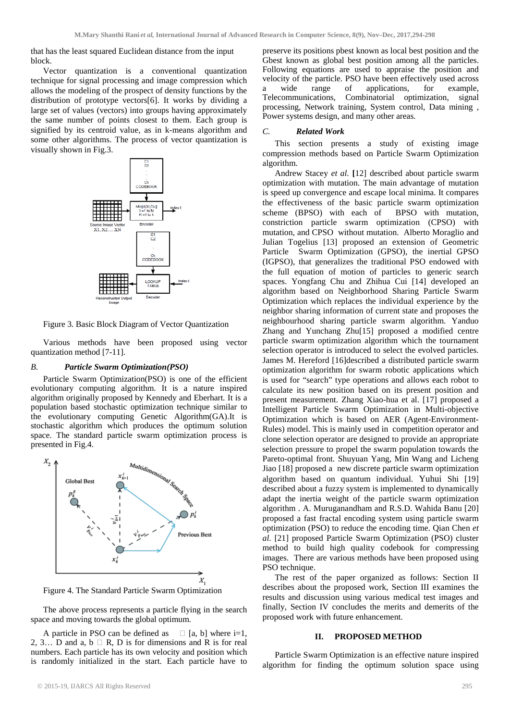that has the least squared Euclidean distance from the input block.

Vector quantization is a conventional quantization technique for signal processing and image compression which allows the modeling of the prospect of density functions by the distribution of prototype vectors[6]. It works by dividing a large set of values (vectors) into groups having approximately the same number of points closest to them. Each group is signified by its centroid value, as in k-means algorithm and some other algorithms. The process of vector quantization is visually shown in Fig.3.



Figure 3. Basic Block Diagram of Vector Quantization

Various methods have been proposed using vector quantization method [7-11].

### *B. Particle Swarm Optimization(PSO)*

Particle Swarm Optimization(PSO) is one of the efficient evolutionary computing algorithm. It is a nature inspired algorithm originally proposed by Kennedy and Eberhart. It is a population based stochastic optimization technique similar to the evolutionary computing Genetic Algorithm(GA).It is stochastic algorithm which produces the optimum solution space. The standard particle swarm optimization process is presented in Fig.4.



Figure 4. The Standard Particle Swarm Optimization

The above process represents a particle flying in the search space and moving towards the global optimum.

A particle in PSO can be defined as  $\Box$  [a, b] where i=1, 2, 3... D and a,  $b \square R$ , D is for dimensions and R is for real numbers. Each particle has its own velocity and position which is randomly initialized in the start. Each particle have to preserve its positions pbest known as local best position and the Gbest known as global best position among all the particles. Following equations are used to appraise the position and velocity of the particle. PSO have been effectively used across wide range of applications, for example, Telecommunications, Combinatorial optimization, signal processing, Network training, System control, Data mining , Power systems design, and many other areas.

### *C. Related Work*

This section presents a study of existing image compression methods based on Particle Swarm Optimization algorithm.

Andrew Stacey *et al.* **[**12] described about particle swarm optimization with mutation. The main advantage of mutation is speed up convergence and escape local minima. It compares the effectiveness of the basic particle swarm optimization<br>scheme (BPSO) with each of BPSO with mutation. scheme  $(BPSO)$  with each of constriction particle swarm optimization (CPSO) with mutation, and CPSO without mutation. Alberto Moraglio and Julian Togelius [13] proposed an extension of Geometric Particle Swarm Optimization (GPSO), the inertial GPSO (IGPSO), that generalizes the traditional PSO endowed with the full equation of motion of particles to generic search spaces. Yongfang Chu and Zhihua Cui [14] developed an algorithm based on Neighborhood Sharing Particle Swarm Optimization which replaces the individual experience by the neighbor sharing information of current state and proposes the neighbourhood sharing particle swarm algorithm. Yanduo Zhang and Yunchang Zhu[15] proposed a modified centre particle swarm optimization algorithm which the tournament selection operator is introduced to select the evolved particles. James M. Hereford [16]described a distributed particle swarm optimization algorithm for swarm robotic applications which is used for "search" type operations and allows each robot to calculate its new position based on its present position and present measurement. Zhang Xiao-hua et al. [17] proposed a Intelligent Particle Swarm Optimization in Multi-objective Optimization which is based on AER (Agent-Environment-Rules) model. This is mainly used in competition operator and clone selection operator are designed to provide an appropriate selection pressure to propel the swarm population towards the Pareto-optimal front. Shuyuan Yang, Min Wang and Licheng Jiao [18] proposed a new discrete particle swarm optimization algorithm based on quantum individual. Yuhui Shi [19] described about a fuzzy system is implemented to dynamically adapt the inertia weight of the particle swarm optimization algorithm . A. Muruganandham and R.S.D. Wahida Banu [20] proposed a fast fractal encoding system using particle swarm optimization (PSO) to reduce the encoding time. Qian Chen *et al*. [21] proposed Particle Swarm Optimization (PSO) cluster method to build high quality codebook for compressing images. There are various methods have been proposed using PSO technique.

The rest of the paper organized as follows: Section II describes about the proposed work, Section III examines the results and discussion using various medical test images and finally, Section IV concludes the merits and demerits of the proposed work with future enhancement.

#### **II. PROPOSED METHOD**

Particle Swarm Optimization is an effective nature inspired algorithm for finding the optimum solution space using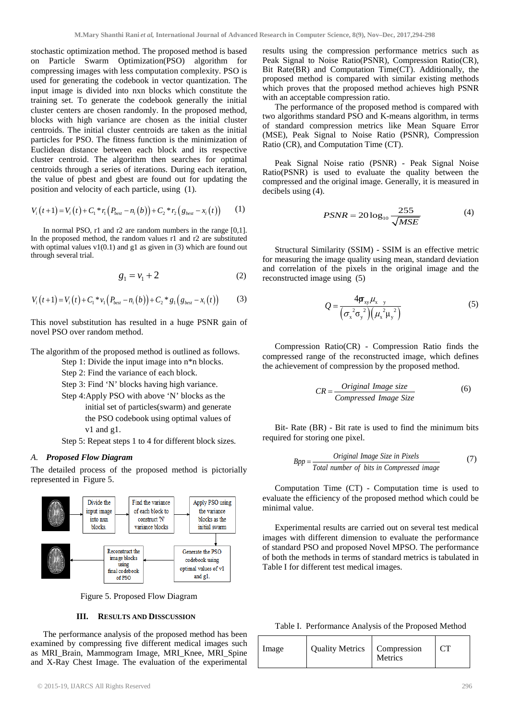stochastic optimization method. The proposed method is based on Particle Swarm Optimization(PSO) algorithm for compressing images with less computation complexity. PSO is used for generating the codebook in vector quantization. The input image is divided into nxn blocks which constitute the training set. To generate the codebook generally the initial cluster centers are chosen randomly. In the proposed method, blocks with high variance are chosen as the initial cluster centroids. The initial cluster centroids are taken as the initial particles for PSO. The fitness function is the minimization of Euclidean distance between each block and its respective cluster centroid. The algorithm then searches for optimal centroids through a series of iterations. During each iteration, the value of pbest and gbest are found out for updating the position and velocity of each particle, using (1).

$$
V_i(t+1) = V_i(t) + C_1 * r_1 (P_{best} - n_i(b)) + C_2 * r_2 (g_{best} - x_i(t))
$$
 (1)

In normal PSO, r1 and r2 are random numbers in the range [0,1]. In the proposed method, the random values r1 and r2 are substituted with optimal values  $v1(0.1)$  and g1 as given in (3) which are found out through several trial.

$$
g_1 = v_1 + 2\tag{2}
$$

$$
V_i(t+1) = V_i(t) + C_1 * v_1 (P_{best} - n_i(b)) + C_2 * g_1 (g_{best} - x_i(t))
$$
 (3)

This novel substitution has resulted in a huge PSNR gain of novel PSO over random method.

The algorithm of the proposed method is outlined as follows.

- Step 1: Divide the input image into n\*n blocks.
- Step 2: Find the variance of each block.
- Step 3: Find 'N' blocks having high variance.
- Step 4:Apply PSO with above 'N' blocks as the initial set of particles(swarm) and generate the PSO codebook using optimal values of v1 and g1.

Step 5: Repeat steps 1 to 4 for different block sizes.

# *A. Proposed Flow Diagram*

The detailed process of the proposed method is pictorially represented in Figure 5.



Figure 5. Proposed Flow Diagram

### **III. RESULTS AND DISSCUSSION**

The performance analysis of the proposed method has been examined by compressing five different medical images such as MRI\_Brain, Mammogram Image, MRI\_Knee, MRI\_Spine and X-Ray Chest Image. The evaluation of the experimental results using the compression performance metrics such as Peak Signal to Noise Ratio(PSNR), Compression Ratio(CR), Bit Rate(BR) and Computation Time(CT). Additionally, the proposed method is compared with similar existing methods which proves that the proposed method achieves high PSNR with an acceptable compression ratio.

The performance of the proposed method is compared with two algorithms standard PSO and K-means algorithm, in terms of standard compression metrics like Mean Square Error (MSE), Peak Signal to Noise Ratio (PSNR), Compression Ratio (CR), and Computation Time (CT).

Peak Signal Noise ratio (PSNR) - Peak Signal Noise Ratio(PSNR) is used to evaluate the quality between the compressed and the original image. Generally, it is measured in decibels using (4).

$$
PSNR = 20\log_{10}\frac{255}{\sqrt{MSE}}\tag{4}
$$

Structural Similarity (SSIM) - SSIM is an effective metric for measuring the image quality using mean, standard deviation and correlation of the pixels in the original image and the reconstructed image using (5)

$$
Q = \frac{4\mathbf{\sigma}_{xy}\mu_{x-y}}{\left(\sigma_{x}^{2}\sigma_{y}^{2}\right)\left(\mu_{x}^{2}\mu_{y}^{2}\right)}
$$
(5)

Compression Ratio(CR) - Compression Ratio finds the compressed range of the reconstructed image, which defines the achievement of compression by the proposed method.

$$
CR = \frac{Original\ Image\ size}{Compressed\ Image\ Size}
$$
 (6)

Bit- Rate (BR) - Bit rate is used to find the minimum bits required for storing one pixel.

$$
Bpp = \frac{Original\ Image\ Size\ in\ Pixels}{Total\ number\ of\ bits\ in\ Compressed\ image}
$$
 (7)

Computation Time (CT) - Computation time is used to evaluate the efficiency of the proposed method which could be minimal value.

Experimental results are carried out on several test medical images with different dimension to evaluate the performance of standard PSO and proposed Novel MPSO. The performance of both the methods in terms of standard metrics is tabulated in Table I for different test medical images.

Table I. Performance Analysis of the Proposed Method

| Image | Quality Metrics   Compression | Metrics |  |
|-------|-------------------------------|---------|--|
|-------|-------------------------------|---------|--|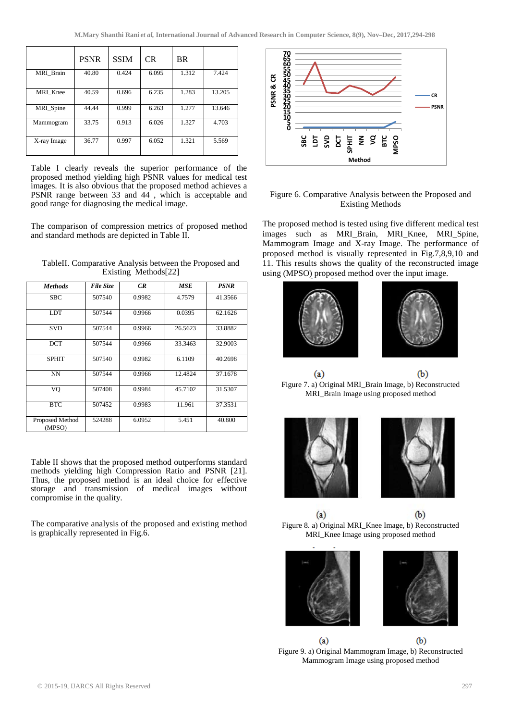|             | <b>PSNR</b> | <b>SSIM</b> | CR.   | <b>BR</b> |        |
|-------------|-------------|-------------|-------|-----------|--------|
| MRI Brain   | 40.80       | 0.424       | 6.095 | 1.312     | 7.424  |
| MRI_Knee    | 40.59       | 0.696       | 6.235 | 1.283     | 13.205 |
| MRI_Spine   | 44.44       | 0.999       | 6.263 | 1.277     | 13.646 |
| Mammogram   | 33.75       | 0.913       | 6.026 | 1.327     | 4.703  |
| X-ray Image | 36.77       | 0.997       | 6.052 | 1.321     | 5.569  |

Table I clearly reveals the superior performance of the proposed method yielding high PSNR values for medical test images. It is also obvious that the proposed method achieves a PSNR range between 33 and 44<sup>2</sup>, which is acceptable and good range for diagnosing the medical image.

The comparison of compression metrics of proposed method and standard methods are depicted in Table II.

| <b>Methods</b>            | <b>File Size</b> | CR     | MSE     | PSNR    |
|---------------------------|------------------|--------|---------|---------|
| <b>SBC</b>                | 507540           | 0.9982 | 4.7579  | 41.3566 |
| <b>LDT</b>                | 507544           | 0.9966 | 0.0395  | 62.1626 |
| <b>SVD</b>                | 507544           | 0.9966 | 26.5623 | 33.8882 |
| <b>DCT</b>                | 507544           | 0.9966 | 33.3463 | 32.9003 |
| <b>SPHIT</b>              | 507540           | 0.9982 | 6.1109  | 40.2698 |
| <b>NN</b>                 | 507544           | 0.9966 | 12.4824 | 37.1678 |
| VO                        | 507408           | 0.9984 | 45.7102 | 31.5307 |
| <b>BTC</b>                | 507452           | 0.9983 | 11.961  | 37.3531 |
| Proposed Method<br>(MPSO) | 524288           | 6.0952 | 5.451   | 40.800  |

TableII. Comparative Analysis between the Proposed and Existing Methods[22]

Table II shows that the proposed method outperforms standard methods yielding high Compression Ratio and PSNR [21]. Thus, the proposed method is an ideal choice for effective storage and transmission of medical images without compromise in the quality.

The comparative analysis of the proposed and existing method is graphically represented in Fig.6.



# Figure 6. Comparative Analysis between the Proposed and Existing Methods

The proposed method is tested using five different medical test images such as MRI\_Brain, MRI\_Knee, MRI\_Spine, Mammogram Image and X-ray Image. The performance of proposed method is visually represented in Fig.7,8,9,10 and 11. This results shows the quality of the reconstructed image using (MPSO) proposed method over the input image.



 $(a)$  $(b)$ Figure 7. a) Original MRI\_Brain Image, b) Reconstructed MRI\_Brain Image using proposed method





 $(a)$  $(b)$ Figure 8. a) Original MRI\_Knee Image, b) Reconstructed MRI\_Knee Image using proposed method





 $(b)$  $(a)$ Figure 9. a) Original Mammogram Image, b) Reconstructed Mammogram Image using proposed method